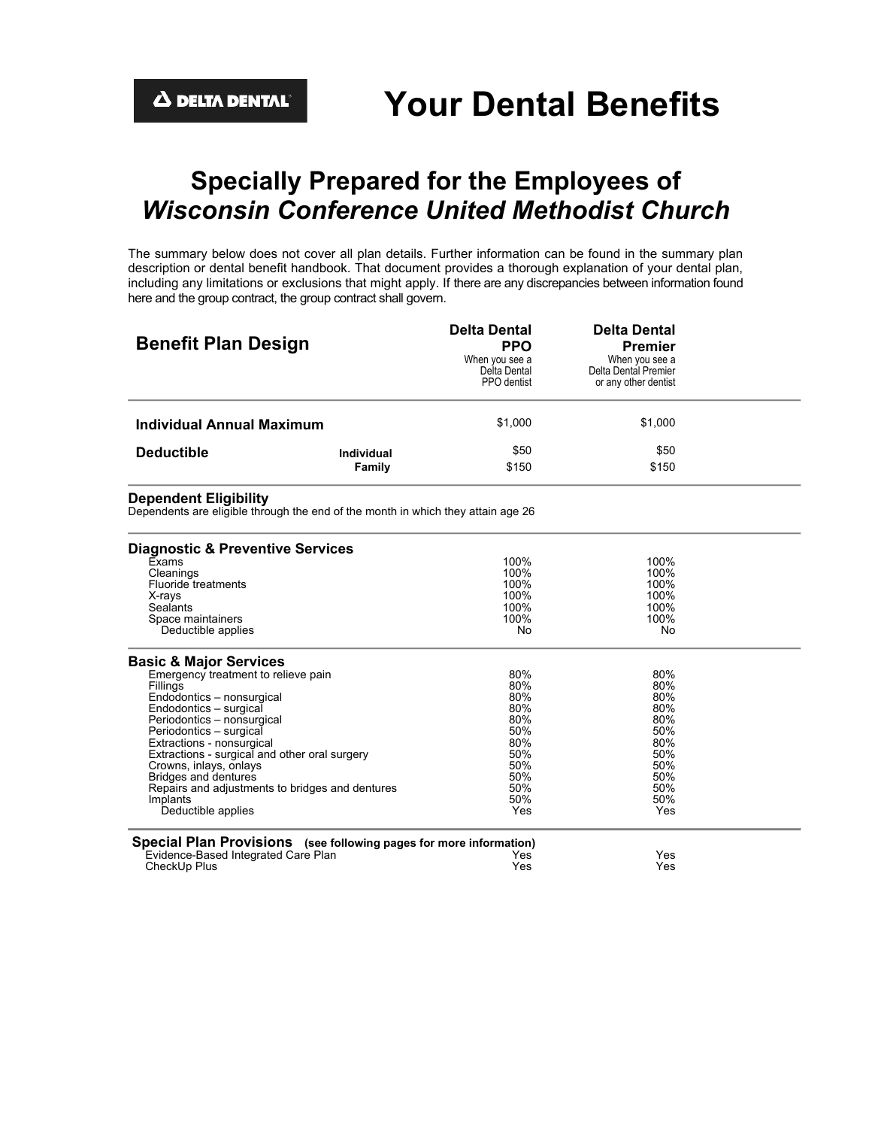# **Specially Prepared for the Employees of** *Wisconsin Conference United Methodist Church*

The summary below does not cover all plan details. Further information can be found in the summary plan description or dental benefit handbook. That document provides a thorough explanation of your dental plan, including any limitations or exclusions that might apply. If there are any discrepancies between information found here and the group contract, the group contract shall govern.

| <b>Benefit Plan Design</b>                                                                                       |                             | <b>Delta Dental</b><br><b>PPO</b><br>When you see a<br>Delta Dental<br>PPO dentist | <b>Delta Dental</b><br><b>Premier</b><br>When you see a<br>Delta Dental Premier<br>or any other dentist |  |
|------------------------------------------------------------------------------------------------------------------|-----------------------------|------------------------------------------------------------------------------------|---------------------------------------------------------------------------------------------------------|--|
| <b>Individual Annual Maximum</b>                                                                                 |                             | \$1,000                                                                            | \$1,000                                                                                                 |  |
| <b>Deductible</b>                                                                                                | <b>Individual</b><br>Family | \$50<br>\$150                                                                      | \$50<br>\$150                                                                                           |  |
| <b>Dependent Eligibility</b><br>Dependents are eligible through the end of the month in which they attain age 26 |                             |                                                                                    |                                                                                                         |  |
| <b>Diagnostic &amp; Preventive Services</b>                                                                      |                             |                                                                                    |                                                                                                         |  |
| Exams                                                                                                            |                             | 100%                                                                               | 100%                                                                                                    |  |
| Cleanings                                                                                                        |                             | 100%                                                                               | 100%                                                                                                    |  |
| Fluoride treatments                                                                                              |                             | 100%                                                                               | 100%                                                                                                    |  |
| X-rays<br>Sealants                                                                                               |                             | 100%<br>100%                                                                       | 100%<br>100%                                                                                            |  |
| Space maintainers                                                                                                |                             | 100%                                                                               | 100%                                                                                                    |  |
| Deductible applies                                                                                               |                             | No                                                                                 | No                                                                                                      |  |
| <b>Basic &amp; Major Services</b>                                                                                |                             |                                                                                    |                                                                                                         |  |
| Emergency treatment to relieve pain                                                                              |                             | 80%                                                                                | 80%                                                                                                     |  |
| Fillings                                                                                                         |                             | 80%<br>80%                                                                         | 80%<br>80%                                                                                              |  |
| Endodontics - nonsurgical<br>Endodontics - surgical                                                              |                             | 80%                                                                                | 80%                                                                                                     |  |
| Periodontics - nonsurgical                                                                                       |                             | 80%                                                                                | 80%                                                                                                     |  |
| Periodontics - surgical                                                                                          |                             | 50%                                                                                | 50%                                                                                                     |  |
| Extractions - nonsurgical                                                                                        |                             | 80%                                                                                | 80%                                                                                                     |  |
| Extractions - surgical and other oral surgery                                                                    |                             | 50%                                                                                | 50%                                                                                                     |  |
| Crowns, inlays, onlays                                                                                           |                             | 50%                                                                                | 50%                                                                                                     |  |
| <b>Bridges and dentures</b>                                                                                      |                             | 50%                                                                                | 50%                                                                                                     |  |
| Repairs and adjustments to bridges and dentures                                                                  |                             | 50%<br>50%                                                                         | 50%<br>50%                                                                                              |  |
| Implants<br>Deductible applies                                                                                   |                             | Yes                                                                                | Yes                                                                                                     |  |
| Special Plan Provisions (see following pages for more information)                                               |                             |                                                                                    |                                                                                                         |  |
| Evidence-Based Integrated Care Plan                                                                              |                             | Yes                                                                                | Yes                                                                                                     |  |
| CheckUp Plus                                                                                                     |                             | Yes                                                                                | Yes                                                                                                     |  |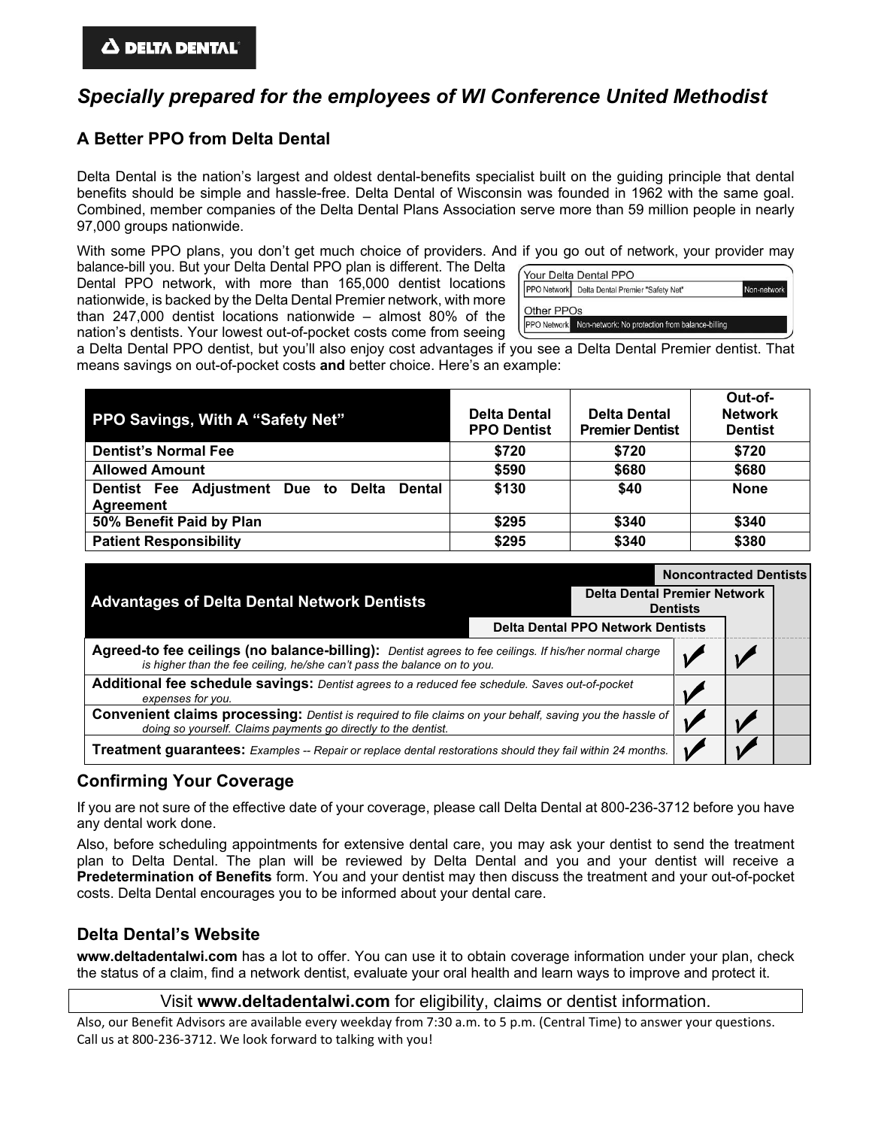# *Specially prepared for the employees of WI Conference United Methodist*

## **A Better PPO from Delta Dental**

Delta Dental is the nation's largest and oldest dental-benefits specialist built on the guiding principle that dental benefits should be simple and hassle-free. Delta Dental of Wisconsin was founded in 1962 with the same goal. Combined, member companies of the Delta Dental Plans Association serve more than 59 million people in nearly 97,000 groups nationwide.

With some PPO plans, you don't get much choice of providers. And if you go out of network, your provider may

balance-bill you. But your Delta Dental PPO plan is different. The Delta Dental PPO network, with more than 165,000 dentist locations nationwide, is backed by the Delta Dental Premier network, with more than 247,000 dentist locations nationwide – almost 80% of the nation's dentists. Your lowest out-of-pocket costs come from seeing

|            | PPO Network Delta Dental Premier "Safety Net" | Non-network |
|------------|-----------------------------------------------|-------------|
|            |                                               |             |
| Other PPOs |                                               |             |

a Delta Dental PPO dentist, but you'll also enjoy cost advantages if you see a Delta Dental Premier dentist. That means savings on out-of-pocket costs **and** better choice. Here's an example:

| PPO Savings, With A "Safety Net"                                  | <b>Delta Dental</b><br><b>PPO Dentist</b> | <b>Delta Dental</b><br><b>Premier Dentist</b> | Out-of-<br><b>Network</b><br><b>Dentist</b> |
|-------------------------------------------------------------------|-------------------------------------------|-----------------------------------------------|---------------------------------------------|
| <b>Dentist's Normal Fee</b>                                       | \$720                                     | \$720                                         | \$720                                       |
| <b>Allowed Amount</b>                                             | \$590                                     | \$680                                         | \$680                                       |
| Dentist Fee Adjustment Due to Delta<br><b>Dental</b><br>Agreement | \$130                                     | \$40                                          | <b>None</b>                                 |
| 50% Benefit Paid by Plan                                          | \$295                                     | \$340                                         | \$340                                       |
| <b>Patient Responsibility</b>                                     | \$295                                     | \$340                                         | \$380                                       |

| <b>Advantages of Delta Dental Network Dentists</b>                                                                                                                                |  |                                          | <b>Noncontracted Dentists</b>                          |  |  |
|-----------------------------------------------------------------------------------------------------------------------------------------------------------------------------------|--|------------------------------------------|--------------------------------------------------------|--|--|
|                                                                                                                                                                                   |  |                                          | <b>Delta Dental Premier Network</b><br><b>Dentists</b> |  |  |
|                                                                                                                                                                                   |  | <b>Delta Dental PPO Network Dentists</b> |                                                        |  |  |
| Agreed-to fee ceilings (no balance-billing): Dentist agrees to fee ceilings. If his/her normal charge<br>is higher than the fee ceiling, he/she can't pass the balance on to you. |  |                                          |                                                        |  |  |
| Additional fee schedule savings: Dentist agrees to a reduced fee schedule. Saves out-of-pocket<br>expenses for you.                                                               |  |                                          |                                                        |  |  |
| Convenient claims processing: Dentist is required to file claims on your behalf, saving you the hassle of<br>doing so yourself. Claims payments go directly to the dentist.       |  |                                          |                                                        |  |  |
| Treatment guarantees: Examples -- Repair or replace dental restorations should they fail within 24 months.                                                                        |  |                                          |                                                        |  |  |

### **Confirming Your Coverage**

If you are not sure of the effective date of your coverage, please call Delta Dental at 800-236-3712 before you have any dental work done.

Also, before scheduling appointments for extensive dental care, you may ask your dentist to send the treatment plan to Delta Dental. The plan will be reviewed by Delta Dental and you and your dentist will receive a **Predetermination of Benefits** form. You and your dentist may then discuss the treatment and your out-of-pocket costs. Delta Dental encourages you to be informed about your dental care.

### **Delta Dental's Website**

**www.deltadentalwi.com** has a lot to offer. You can use it to obtain coverage information under your plan, check the status of a claim, find a network dentist, evaluate your oral health and learn ways to improve and protect it.

Visit **www.deltadentalwi.com** for eligibility, claims or dentist information.

Also, our Benefit Advisors are available every weekday from 7:30 a.m. to 5 p.m. (Central Time) to answer your questions. Call us at 800-236-3712. We look forward to talking with you!